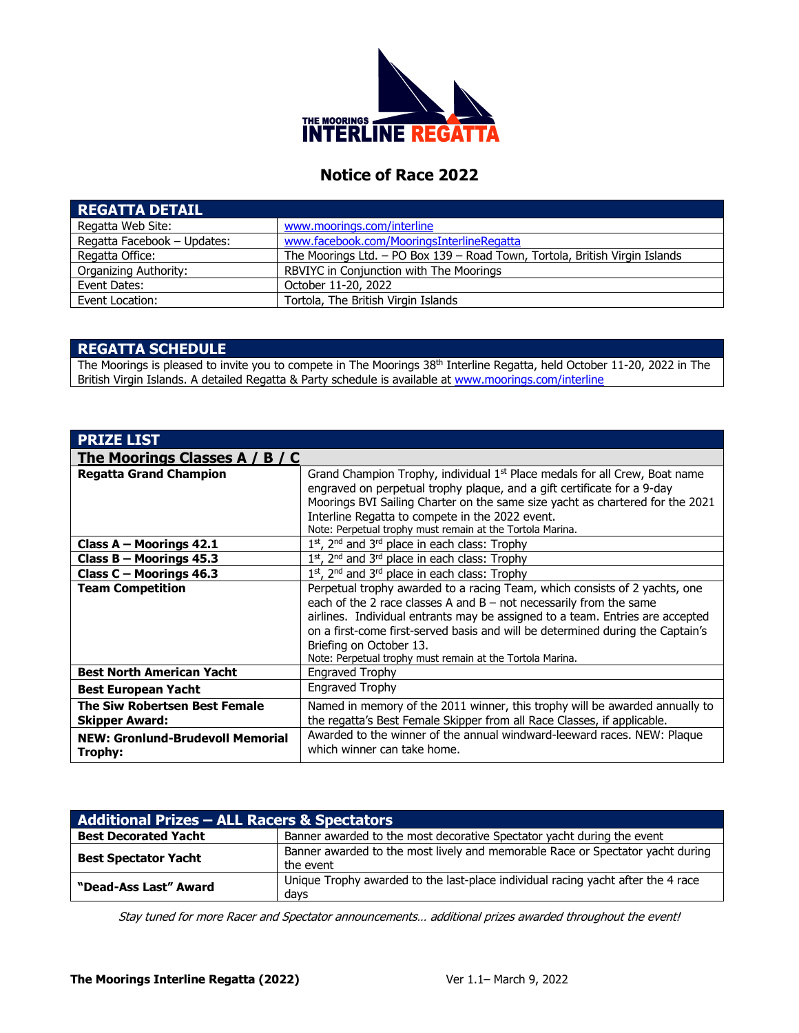

# **Notice of Race 2022**

| <b>REGATTA DETAIL</b>       |                                                                             |
|-----------------------------|-----------------------------------------------------------------------------|
| Regatta Web Site:           | www.moorings.com/interline                                                  |
| Regatta Facebook - Updates: | www.facebook.com/MooringsInterlineRegatta                                   |
| Regatta Office:             | The Moorings Ltd. - PO Box 139 - Road Town, Tortola, British Virgin Islands |
| Organizing Authority:       | RBVIYC in Conjunction with The Moorings                                     |
| Event Dates:                | October 11-20, 2022                                                         |
| Event Location:             | Tortola, The British Virgin Islands                                         |

### **REGATTA SCHEDULE**

The Moorings is pleased to invite you to compete in The Moorings 38<sup>th</sup> Interline Regatta, held October 11-20, 2022 in The British Virgin Islands. A detailed Regatta & Party schedule is available at [www.moorings.com/interline](http://www.moorings.com/interline)

| <b>PRIZE LIST</b>                       |                                                                                        |  |
|-----------------------------------------|----------------------------------------------------------------------------------------|--|
| The Moorings Classes A / B / C          |                                                                                        |  |
| <b>Regatta Grand Champion</b>           | Grand Champion Trophy, individual 1 <sup>st</sup> Place medals for all Crew, Boat name |  |
|                                         | engraved on perpetual trophy plaque, and a gift certificate for a 9-day                |  |
|                                         | Moorings BVI Sailing Charter on the same size yacht as chartered for the 2021          |  |
|                                         | Interline Regatta to compete in the 2022 event.                                        |  |
|                                         | Note: Perpetual trophy must remain at the Tortola Marina.                              |  |
| Class A - Moorings 42.1                 | $1st$ , 2 <sup>nd</sup> and 3 <sup>rd</sup> place in each class: Trophy                |  |
| Class B - Moorings 45.3                 | $1st$ , 2 <sup>nd</sup> and 3 <sup>rd</sup> place in each class: Trophy                |  |
| Class C - Moorings 46.3                 | 1st, 2 <sup>nd</sup> and 3 <sup>rd</sup> place in each class: Trophy                   |  |
| <b>Team Competition</b>                 | Perpetual trophy awarded to a racing Team, which consists of 2 yachts, one             |  |
|                                         | each of the 2 race classes A and $B$ – not necessarily from the same                   |  |
|                                         | airlines. Individual entrants may be assigned to a team. Entries are accepted          |  |
|                                         | on a first-come first-served basis and will be determined during the Captain's         |  |
|                                         | Briefing on October 13.                                                                |  |
|                                         | Note: Perpetual trophy must remain at the Tortola Marina.                              |  |
| <b>Best North American Yacht</b>        | <b>Engraved Trophy</b>                                                                 |  |
| <b>Best European Yacht</b>              | <b>Engraved Trophy</b>                                                                 |  |
| <b>The Siw Robertsen Best Female</b>    | Named in memory of the 2011 winner, this trophy will be awarded annually to            |  |
| <b>Skipper Award:</b>                   | the regatta's Best Female Skipper from all Race Classes, if applicable.                |  |
| <b>NEW: Gronlund-Brudevoll Memorial</b> | Awarded to the winner of the annual windward-leeward races. NEW: Plaque                |  |
| Trophy:                                 | which winner can take home.                                                            |  |
|                                         |                                                                                        |  |

| <b>Additional Prizes - ALL Racers &amp; Spectators</b> |                                                                                             |  |  |  |
|--------------------------------------------------------|---------------------------------------------------------------------------------------------|--|--|--|
| <b>Best Decorated Yacht</b>                            | Banner awarded to the most decorative Spectator yacht during the event                      |  |  |  |
| <b>Best Spectator Yacht</b>                            | Banner awarded to the most lively and memorable Race or Spectator yacht during<br>the event |  |  |  |
| "Dead-Ass Last" Award                                  | Unique Trophy awarded to the last-place individual racing yacht after the 4 race<br>davs    |  |  |  |

Stay tuned for more Racer and Spectator announcements… additional prizes awarded throughout the event!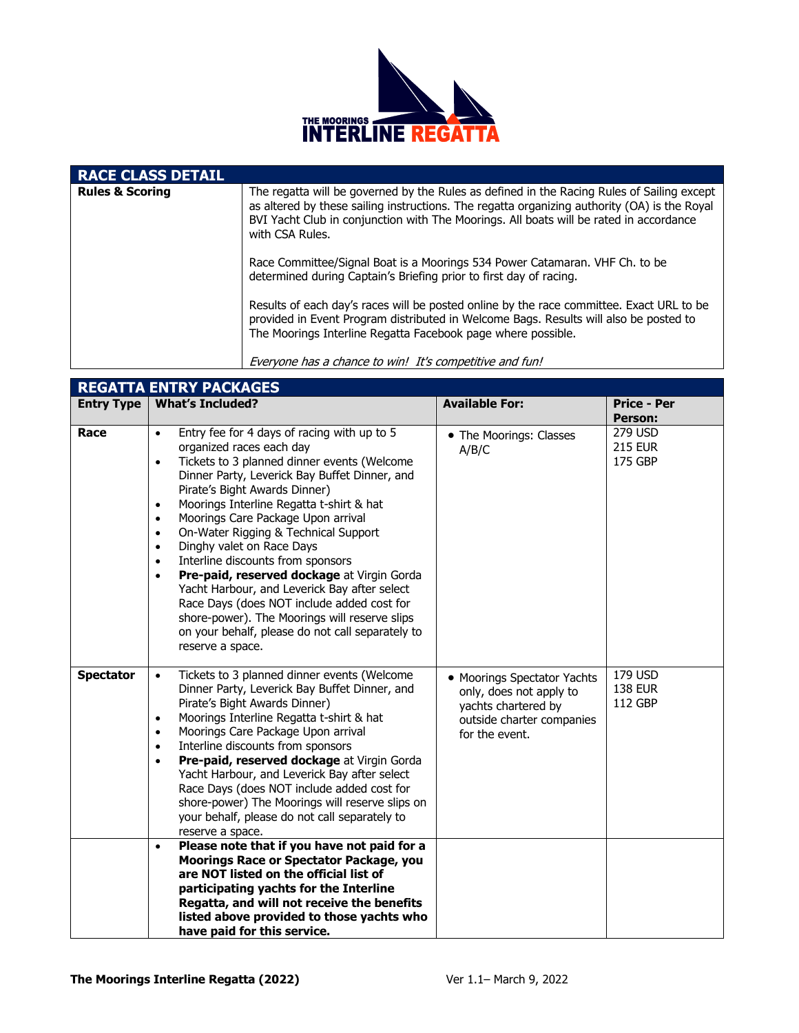

| <b>RACE CLASS DETAIL</b>   |                                                                                                                                                                                                                                                                                                         |
|----------------------------|---------------------------------------------------------------------------------------------------------------------------------------------------------------------------------------------------------------------------------------------------------------------------------------------------------|
| <b>Rules &amp; Scoring</b> | The regatta will be governed by the Rules as defined in the Racing Rules of Sailing except<br>as altered by these sailing instructions. The regatta organizing authority (OA) is the Royal<br>BVI Yacht Club in conjunction with The Moorings. All boats will be rated in accordance<br>with CSA Rules. |
|                            | Race Committee/Signal Boat is a Moorings 534 Power Catamaran. VHF Ch. to be<br>determined during Captain's Briefing prior to first day of racing.                                                                                                                                                       |
|                            | Results of each day's races will be posted online by the race committee. Exact URL to be<br>provided in Event Program distributed in Welcome Bags. Results will also be posted to<br>The Moorings Interline Regatta Facebook page where possible.                                                       |
|                            | Everyone has a chance to win! It's competitive and fun!                                                                                                                                                                                                                                                 |

| <b>REGATTA ENTRY PACKAGES</b> |                                                                                                                                                                                                                                                                                                                                                                                                                                                                                                                                                                                                                                                                                                                                                                                   |                                                                                                                              |                                      |  |  |  |
|-------------------------------|-----------------------------------------------------------------------------------------------------------------------------------------------------------------------------------------------------------------------------------------------------------------------------------------------------------------------------------------------------------------------------------------------------------------------------------------------------------------------------------------------------------------------------------------------------------------------------------------------------------------------------------------------------------------------------------------------------------------------------------------------------------------------------------|------------------------------------------------------------------------------------------------------------------------------|--------------------------------------|--|--|--|
| <b>Entry Type</b>             | <b>What's Included?</b>                                                                                                                                                                                                                                                                                                                                                                                                                                                                                                                                                                                                                                                                                                                                                           | <b>Available For:</b>                                                                                                        | <b>Price - Per</b><br><b>Person:</b> |  |  |  |
| Race                          | Entry fee for 4 days of racing with up to 5<br>$\bullet$<br>organized races each day<br>Tickets to 3 planned dinner events (Welcome<br>$\bullet$<br>Dinner Party, Leverick Bay Buffet Dinner, and<br>Pirate's Bight Awards Dinner)<br>Moorings Interline Regatta t-shirt & hat<br>$\bullet$<br>Moorings Care Package Upon arrival<br>$\bullet$<br>On-Water Rigging & Technical Support<br>$\bullet$<br>Dinghy valet on Race Days<br>$\bullet$<br>Interline discounts from sponsors<br>$\bullet$<br>Pre-paid, reserved dockage at Virgin Gorda<br>$\bullet$<br>Yacht Harbour, and Leverick Bay after select<br>Race Days (does NOT include added cost for<br>shore-power). The Moorings will reserve slips<br>on your behalf, please do not call separately to<br>reserve a space. | • The Moorings: Classes<br>A/B/C                                                                                             | 279 USD<br><b>215 EUR</b><br>175 GBP |  |  |  |
| <b>Spectator</b>              | Tickets to 3 planned dinner events (Welcome<br>$\bullet$<br>Dinner Party, Leverick Bay Buffet Dinner, and<br>Pirate's Bight Awards Dinner)<br>Moorings Interline Regatta t-shirt & hat<br>$\bullet$<br>Moorings Care Package Upon arrival<br>$\bullet$<br>Interline discounts from sponsors<br>$\bullet$<br>Pre-paid, reserved dockage at Virgin Gorda<br>$\bullet$<br>Yacht Harbour, and Leverick Bay after select<br>Race Days (does NOT include added cost for<br>shore-power) The Moorings will reserve slips on<br>your behalf, please do not call separately to<br>reserve a space.                                                                                                                                                                                         | • Moorings Spectator Yachts<br>only, does not apply to<br>yachts chartered by<br>outside charter companies<br>for the event. | 179 USD<br><b>138 EUR</b><br>112 GBP |  |  |  |
|                               | Please note that if you have not paid for a<br>$\bullet$<br>Moorings Race or Spectator Package, you<br>are NOT listed on the official list of<br>participating yachts for the Interline<br>Regatta, and will not receive the benefits<br>listed above provided to those yachts who<br>have paid for this service.                                                                                                                                                                                                                                                                                                                                                                                                                                                                 |                                                                                                                              |                                      |  |  |  |